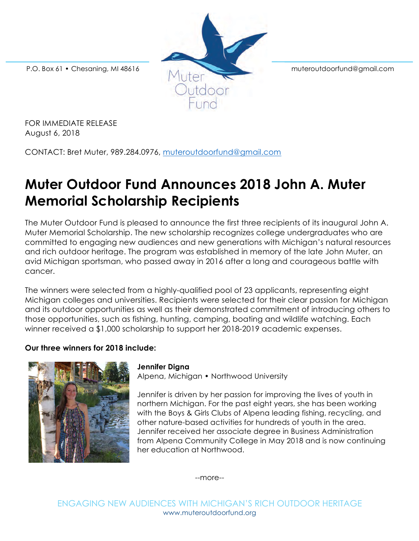

FOR IMMEDIATE RELEASE August 6, 2018

CONTACT: Bret Muter, 989.284.0976, muteroutdoorfund@gmail.com

# **Muter Outdoor Fund Announces 2018 John A. Muter Memorial Scholarship Recipients**

The Muter Outdoor Fund is pleased to announce the first three recipients of its inaugural John A. Muter Memorial Scholarship. The new scholarship recognizes college undergraduates who are committed to engaging new audiences and new generations with Michigan's natural resources and rich outdoor heritage. The program was established in memory of the late John Muter, an avid Michigan sportsman, who passed away in 2016 after a long and courageous battle with cancer.

The winners were selected from a highly-qualified pool of 23 applicants, representing eight Michigan colleges and universities. Recipients were selected for their clear passion for Michigan and its outdoor opportunities as well as their demonstrated commitment of introducing others to those opportunities, such as fishing, hunting, camping, boating and wildlife watching. Each winner received a \$1,000 scholarship to support her 2018-2019 academic expenses.

## **Our three winners for 2018 include:**



#### **Jennifer Digna**

Alpena, Michigan • Northwood University

Jennifer is driven by her passion for improving the lives of youth in northern Michigan. For the past eight years, she has been working with the Boys & Girls Clubs of Alpena leading fishing, recycling, and other nature-based activities for hundreds of youth in the area. Jennifer received her associate degree in Business Administration from Alpena Community College in May 2018 and is now continuing her education at Northwood.

--more--